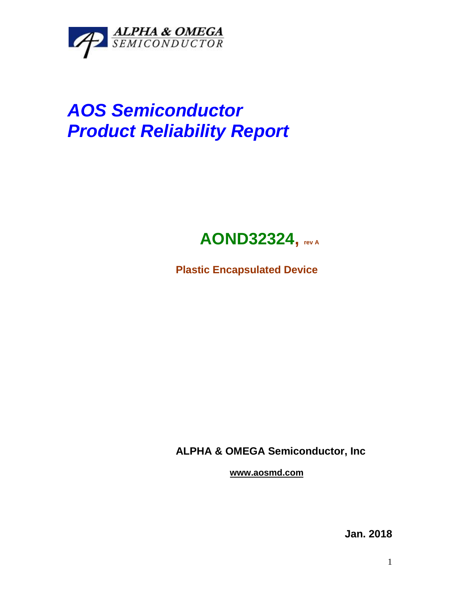

# *AOS Semiconductor Product Reliability Report*

## **AOND32324, rev <sup>A</sup>**

**Plastic Encapsulated Device**

**ALPHA & OMEGA Semiconductor, Inc**

**www.aosmd.com**

**Jan. 2018**